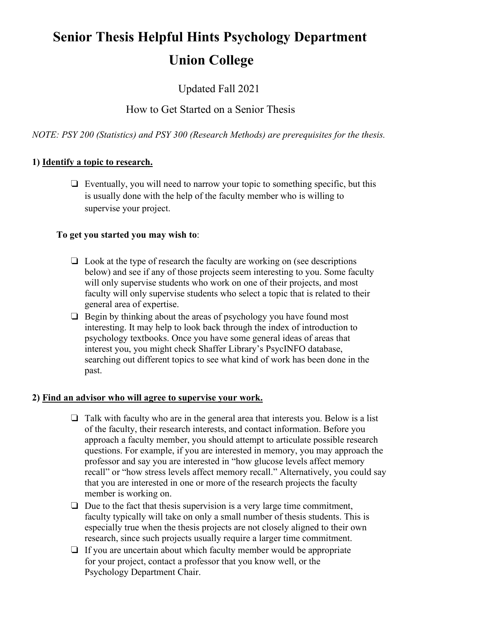# **Senior Thesis Helpful Hints Psychology Department Union College**

Updated Fall 2021

# How to Get Started on a Senior Thesis

*NOTE: PSY 200 (Statistics) and PSY 300 (Research Methods) are prerequisites for the thesis.*

## **1) Identify a topic to research.**

❏ Eventually, you will need to narrow your topic to something specific, but this is usually done with the help of the faculty member who is willing to supervise your project.

## **To get you started you may wish to**:

- $\Box$  Look at the type of research the faculty are working on (see descriptions below) and see if any of those projects seem interesting to you. Some faculty will only supervise students who work on one of their projects, and most faculty will only supervise students who select a topic that is related to their general area of expertise.
- ❏ Begin by thinking about the areas of psychology you have found most interesting. It may help to look back through the index of introduction to psychology textbooks. Once you have some general ideas of areas that interest you, you might check Shaffer Library's PsycINFO database, searching out different topics to see what kind of work has been done in the past.

## **2) Find an advisor who will agree to supervise your work.**

- $\Box$  Talk with faculty who are in the general area that interests you. Below is a list of the faculty, their research interests, and contact information. Before you approach a faculty member, you should attempt to articulate possible research questions. For example, if you are interested in memory, you may approach the professor and say you are interested in "how glucose levels affect memory recall" or "how stress levels affect memory recall." Alternatively, you could say that you are interested in one or more of the research projects the faculty member is working on.
- ❏ Due to the fact that thesis supervision is a very large time commitment, faculty typically will take on only a small number of thesis students. This is especially true when the thesis projects are not closely aligned to their own research, since such projects usually require a larger time commitment.
- ❏ If you are uncertain about which faculty member would be appropriate for your project, contact a professor that you know well, or the Psychology Department Chair.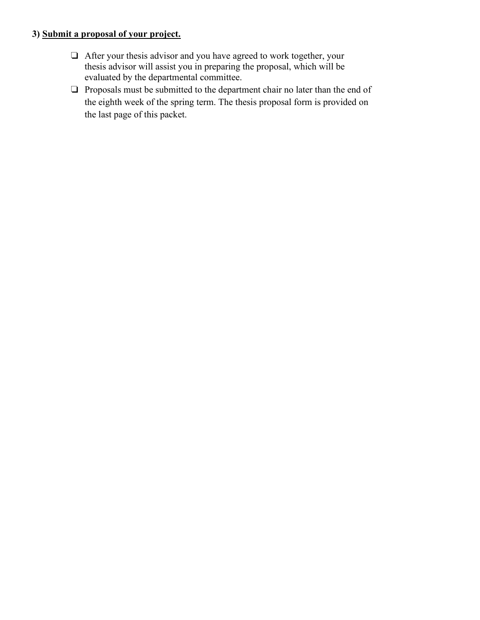## **3) Submit a proposal of your project.**

- ❏ After your thesis advisor and you have agreed to work together, your thesis advisor will assist you in preparing the proposal, which will be evaluated by the departmental committee.
- ❏ Proposals must be submitted to the department chair no later than the end of the eighth week of the spring term. The thesis proposal form is provided on the last page of this packet.